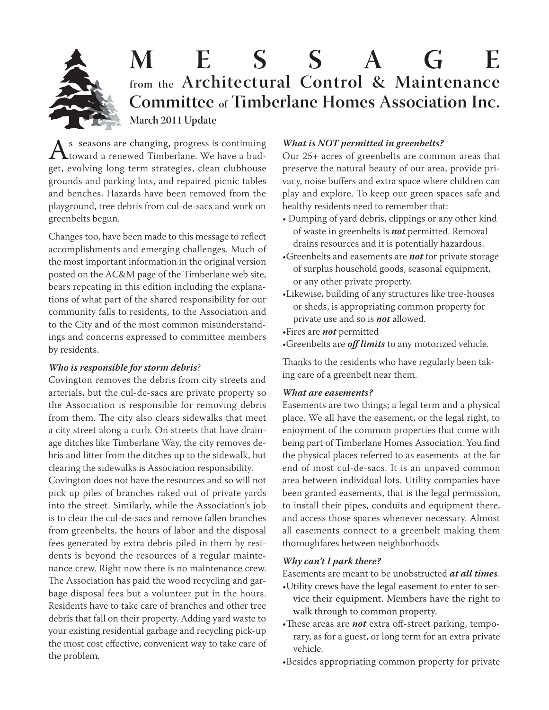

# **M E S S A G E from the Architectural Control & Maintenance Committee of Timberlane Homes Association Inc. March 2011 Update**

As seasons are changing, progress is continuing<br>toward a renewed Timberlane. We have a bud-<br>get, evolving long term strategies, clean clubbouse get, evolving long term strategies, clean clubhouse grounds and parking lots, and repaired picnic tables and benches. Hazards have been removed from the playground, tree debris from cul-de-sacs and work on greenbelts begun.

Changes too, have been made to this message to reflect accomplishments and emerging challenges. Much of the most important information in the original version posted on the AC&M page of the Timberlane web site, bears repeating in this edition including the explanations of what part of the shared responsibility for our community falls to residents, to the Association and to the City and of the most common misunderstandings and concerns expressed to committee members by residents.

# *Who is responsible for storm debris*?

Covington removes the debris from city streets and arterials, but the cul-de-sacs are private property so the Association is responsible for removing debris from them. The city also clears sidewalks that meet a city street along a curb. On streets that have drainage ditches like Timberlane Way, the city removes debris and litter from the ditches up to the sidewalk, but clearing the sidewalks is Association responsibility.

Covington does not have the resources and so will not pick up piles of branches raked out of private yards into the street. Similarly, while the Association's job is to clear the cul-de-sacs and remove fallen branches from greenbelts, the hours of labor and the disposal fees generated by extra debris piled in them by residents is beyond the resources of a regular maintenance crew. Right now there is no maintenance crew. The Association has paid the wood recycling and garbage disposal fees but a volunteer put in the hours. Residents have to take care of branches and other tree debris that fall on their property. Adding yard waste to your existing residential garbage and recycling pick-up the most cost effective, convenient way to take care of the problem.

### *What is NOT permitted in greenbelts?*

Our 25+ acres of greenbelts are common areas that preserve the natural beauty of our area, provide privacy, noise buffers and extra space where children can play and explore. To keep our green spaces safe and healthy residents need to remember that:

- Dumping of yard debris, clippings or any other kind of waste in greenbelts is **not** permitted. Removal drains resources and it is potentially hazardous.
- •Greenbelts and easements are *not* for private storage private storage of surplus household goods, seasonal equipment, or any other private property.
- •Likewise, building of any structures like tree-houses or sheds, is appropriating common property for private use and so is *not* allowed.
- •Fires are *not* permitted
- •Greenbelts are *off limits* to any motorized vehicle.

Thanks to the residents who have regularly been taking care of a greenbelt near them.

#### *What are easements?*

Easements are two things; a legal term and a physical place. We all have the easement, or the legal right, to enjoyment of the common properties that come with being part of Timberlane Homes Association. You find the physical places referred to as easements at the far end of most cul-de-sacs. It is an unpaved common area between individual lots. Utility companies have been granted easements, that is the legal permission, to install their pipes, conduits and equipment there, and access those spaces whenever necessary. Almost all easements connect to a greenbelt making them thoroughfares between neighborhoods

#### *Why can't I park there?*

Easements are meant to be unobstructed *at all times.*

- •Utility crews have the legal easement to enter to service their equipment. Members have the right to walk through to common property.
- •These areas are *not* extra off-street parking, temporary, as for a guest, or long term for an extra private vehicle.
- •Besides appropriating common property for private